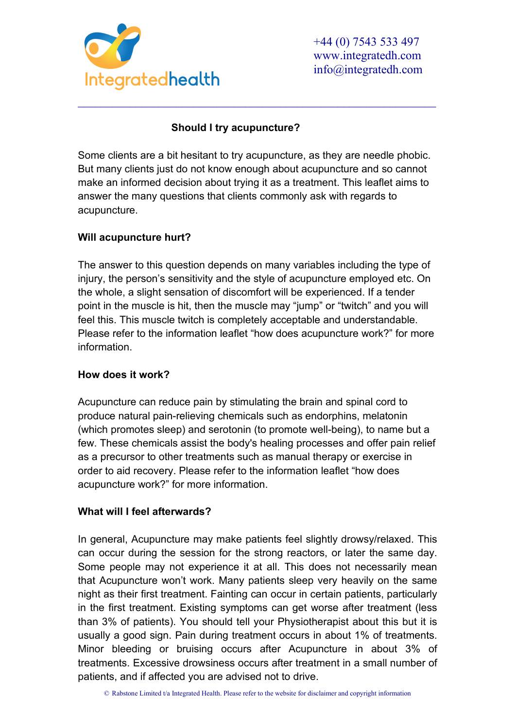

# **Should I try acupuncture?**

Some clients are a bit hesitant to try acupuncture, as they are needle phobic. But many clients just do not know enough about acupuncture and so cannot make an informed decision about trying it as a treatment. This leaflet aims to answer the many questions that clients commonly ask with regards to acupuncture.

\_\_\_\_\_\_\_\_\_\_\_\_\_\_\_\_\_\_\_\_\_\_\_\_\_\_\_\_\_\_\_\_\_\_\_\_\_\_\_\_\_\_\_\_\_\_\_\_\_\_\_\_\_\_\_\_\_\_\_\_\_\_

# **Will acupuncture hurt?**

The answer to this question depends on many variables including the type of injury, the person's sensitivity and the style of acupuncture employed etc. On the whole, a slight sensation of discomfort will be experienced. If a tender point in the muscle is hit, then the muscle may "jump" or "twitch" and you will feel this. This muscle twitch is completely acceptable and understandable. Please refer to the information leaflet "how does acupuncture work?" for more information.

# **How does it work?**

Acupuncture can reduce pain by stimulating the brain and spinal cord to produce natural pain-relieving chemicals such as endorphins, melatonin (which promotes sleep) and serotonin (to promote well-being), to name but a few. These chemicals assist the body's healing processes and offer pain relief as a precursor to other treatments such as manual therapy or exercise in order to aid recovery. Please refer to the information leaflet "how does acupuncture work?" for more information.

# **What will I feel afterwards?**

In general, Acupuncture may make patients feel slightly drowsy/relaxed. This can occur during the session for the strong reactors, or later the same day. Some people may not experience it at all. This does not necessarily mean that Acupuncture won't work. Many patients sleep very heavily on the same night as their first treatment. Fainting can occur in certain patients, particularly in the first treatment. Existing symptoms can get worse after treatment (less than 3% of patients). You should tell your Physiotherapist about this but it is usually a good sign. Pain during treatment occurs in about 1% of treatments. Minor bleeding or bruising occurs after Acupuncture in about 3% of treatments. Excessive drowsiness occurs after treatment in a small number of patients, and if affected you are advised not to drive.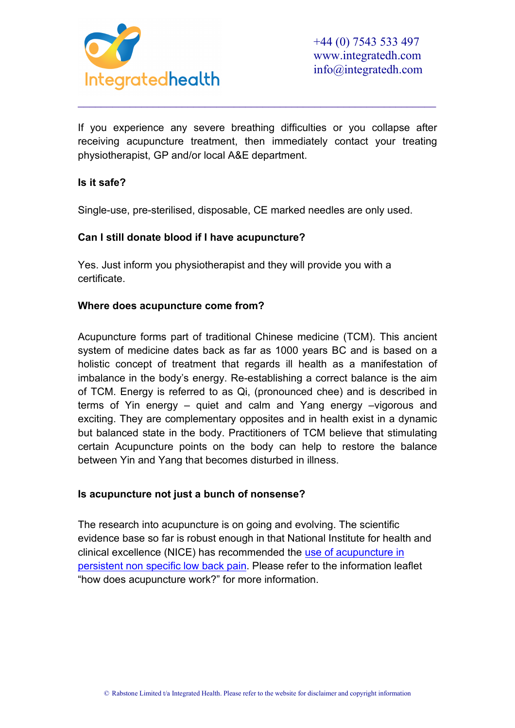

If you experience any severe breathing difficulties or you collapse after receiving acupuncture treatment, then immediately contact your treating physiotherapist, GP and/or local A&E department.

\_\_\_\_\_\_\_\_\_\_\_\_\_\_\_\_\_\_\_\_\_\_\_\_\_\_\_\_\_\_\_\_\_\_\_\_\_\_\_\_\_\_\_\_\_\_\_\_\_\_\_\_\_\_\_\_\_\_\_\_\_\_

### **Is it safe?**

Single-use, pre-sterilised, disposable, CE marked needles are only used.

### **Can I still donate blood if I have acupuncture?**

Yes. Just inform you physiotherapist and they will provide you with a certificate.

### **Where does acupuncture come from?**

Acupuncture forms part of traditional Chinese medicine (TCM). This ancient system of medicine dates back as far as 1000 years BC and is based on a holistic concept of treatment that regards ill health as a manifestation of imbalance in the body's energy. Re-establishing a correct balance is the aim of TCM. Energy is referred to as Qi, (pronounced chee) and is described in terms of Yin energy – quiet and calm and Yang energy –vigorous and exciting. They are complementary opposites and in health exist in a dynamic but balanced state in the body. Practitioners of TCM believe that stimulating certain Acupuncture points on the body can help to restore the balance between Yin and Yang that becomes disturbed in illness.

### **Is acupuncture not just a bunch of nonsense?**

The research into acupuncture is on going and evolving. The scientific evidence base so far is robust enough in that National Institute for health and clinical excellence (NICE) has recommended the [use of acupuncture](http://www.nice.org.uk/newsroom/pressreleases/press_releases.jsp?domedia=1&mid=7D02FA0A-19B9-E0B5-D475EFB91EF4E9E9) in [persistent non specific low back pain.](http://www.nice.org.uk/newsroom/pressreleases/press_releases.jsp?domedia=1&mid=7D02FA0A-19B9-E0B5-D475EFB91EF4E9E9) Please refer to the information leaflet "how does acupuncture work?" for more information.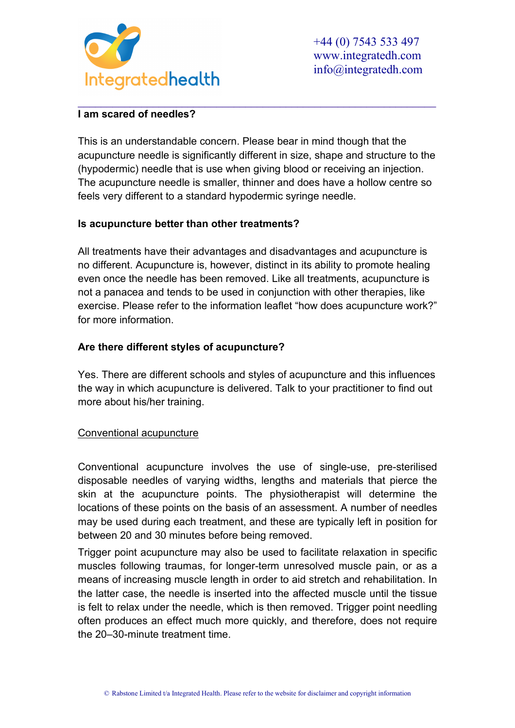

#### \_\_\_\_\_\_\_\_\_\_\_\_\_\_\_\_\_\_\_\_\_\_\_\_\_\_\_\_\_\_\_\_\_\_\_\_\_\_\_\_\_\_\_\_\_\_\_\_\_\_\_\_\_\_\_\_\_\_\_\_\_\_ **I am scared of needles?**

This is an understandable concern. Please bear in mind though that the acupuncture needle is significantly different in size, shape and structure to the (hypodermic) needle that is use when giving blood or receiving an injection. The acupuncture needle is smaller, thinner and does have a hollow centre so feels very different to a standard hypodermic syringe needle.

## **Is acupuncture better than other treatments?**

All treatments have their advantages and disadvantages and acupuncture is no different. Acupuncture is, however, distinct in its ability to promote healing even once the needle has been removed. Like all treatments, acupuncture is not a panacea and tends to be used in conjunction with other therapies, like exercise. Please refer to the information leaflet "how does acupuncture work?" for more information.

## **Are there different styles of acupuncture?**

Yes. There are different schools and styles of acupuncture and this influences the way in which acupuncture is delivered. Talk to your practitioner to find out more about his/her training.

### Conventional acupuncture

Conventional acupuncture involves the use of single-use, pre-sterilised disposable needles of varying widths, lengths and materials that pierce the skin at the acupuncture points. The physiotherapist will determine the locations of these points on the basis of an assessment. A number of needles may be used during each treatment, and these are typically left in position for between 20 and 30 minutes before being removed.

Trigger point acupuncture may also be used to facilitate relaxation in specific muscles following traumas, for longer-term unresolved muscle pain, or as a means of increasing muscle length in order to aid stretch and rehabilitation. In the latter case, the needle is inserted into the affected muscle until the tissue is felt to relax under the needle, which is then removed. Trigger point needling often produces an effect much more quickly, and therefore, does not require the 20–30-minute treatment time.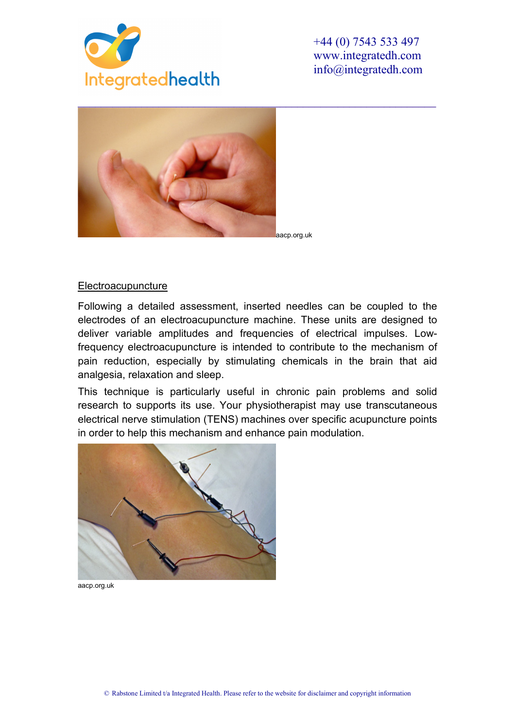

+44 (0) 7543 533 497 www.integratedh.com info@integratedh.com



aacp.org.uk

#### **Electroacupuncture**

Following a detailed assessment, inserted needles can be coupled to the electrodes of an electroacupuncture machine. These units are designed to deliver variable amplitudes and frequencies of electrical impulses. Lowfrequency electroacupuncture is intended to contribute to the mechanism of pain reduction, especially by stimulating chemicals in the brain that aid analgesia, relaxation and sleep.

This technique is particularly useful in chronic pain problems and solid research to supports its use. Your physiotherapist may use transcutaneous electrical nerve stimulation (TENS) machines over specific acupuncture points in order to help this mechanism and enhance pain modulation.



aacp.org.uk